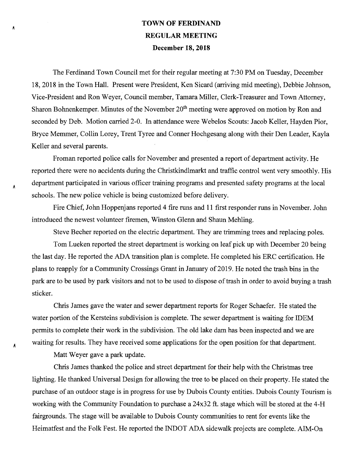## **TOWN OF FERDINAND REGULAR MEETING December 18, 2018**

The Ferdinand Town Council met for their regular meeting at 7:30 PM on Tuesday, December 18, 2018 in the Town Hall. Present were President, Ken Sicard (aniving mid meeting), Debbie Johnson, Vice-President and Ron Weyer, Council member, Tamara Miller, Clerk-Treasurer and Town Attorney, Sharon Bohnenkemper. Minutes of the November 20<sup>th</sup> meeting were approved on motion by Ron and seconded by Deb. Motion carried 2-0. In attendance were Webelos Scouts: Jacob Keller, Hayden Pior, Bryce Memmer, Collin Lorey, Trent Tyree and Cormer Hochgesang along with their Den Leader, Kayla Keller and several parents.

Froman reported police calls for November and presented a report of department activity. He reported there were no accidents during the Christkindlmarkt and traffic control went very smoothly. His department participated in various officer training programs and presented safety programs at the local schools. The new police vehicle is being customized before delivery.

Fire Chief, John Hoppenjans reported 4 fire runs and 11 first responder runs in November. John introduced the newest volunteer firemen, Winston Glenn and Shaun Mehling.

Steve Becher reported on the electric department. They are trimming trees and replacing poles. Tom Lueken reported the street department is working on leaf pick up with December 20 being the last day. He reported the ADA transition plan is complete. He completed his ERC certification. He plans to reapply for a Community Crossings Grant in January of 2019. He noted the trash bins in the park are to be used by park visitors and not to be used to dispose of trash in order to avoid buying a trash sticker.

Chris James gave the water and sewer department reports for Roger Schaefer. He stated the water portion of the Kersteins subdivision is complete. The sewer department is waiting for IDEM permits to complete their work in the subdivision. The old lake dam has been inspected and we are waiting for results. They have received some applications for the open position for that department.

Matt Weyer gave a park update.

A

A

Chris James thanked the police and street department for their help with the Christmas tree lighting. He thanked Universal Design for allowing the tree to be placed on their property. He stated the purchase of an outdoor stage is in progress for use by Dubois County entities. Dubois County Tourism is working with the Community Foundation to purchase a 24x32 ft. stage which will be stored at the 4-H fairgrounds. The stage will be available to Dubois County communities to rent for events like the Heimatfest and the Folk Fest. He reported the INDOT ADA sidewalk projects are complete. AIM-On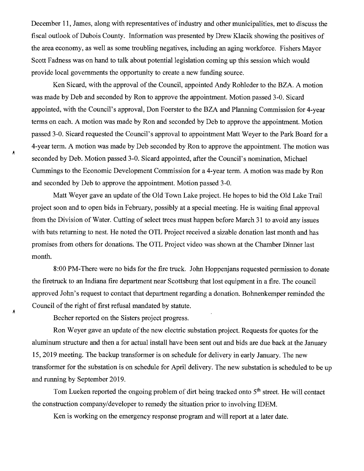December 11, James, along with representatives of industry and other municipalities, met to discuss the fiscal outlook of Dubois County. Information was presented by Drew Klacik showing the positives of the area economy, as well as some troubling negatives, including an aging workforce. Fishers Mayor Scott Fadness was on hand to talk about potential legislation coming up this session which would provide local governments the opportunity to create a new funding source.

Ken Sicard, with the approval of the Council, appointed Andy Rohleder to the BZA. A motion was made by Deb and seconded by Ron to approve the appointment. Motion passed 3-0. Sicard appointed, with the Council's approval, Don Foerster to the BZA and Planning Commission for 4-year terms on each. A motion was made by Ron and seconded by Deb to approve the appointment. Motion passed 3-0. Sicard requested the Council's approval to appointment Matt Weyer to the Park Board for a 4-year term. A motion was made by Deb seconded by Ron to approve the appointment. The motion was seconded by Deb. Motion passed 3-0. Sicard appointed, after the Council's nomination, Michael Cummings to the Economic Development Commission for a 4-year term. A motion was made by Ron and seconded by Deb to approve the appointment. Motion passed 3-0.

Matt Weyer gave an update of the Old Town Lake project. He hopes to bid the Old Lake Trail project soon and to open bids in February, possibly at a special meeting. He is waiting final approval from the Division of Water. Cutting of select trees must happen before March 31 to avoid any issues with bats returning to nest. He noted the OTL Project received a sizable donation last month and has promises from others for donations. The OTL Project video was shown at the Chamber Dinner last month.

8:00 PM-There were no bids for the fire truck. John Hoppenjans requested permission to donate the firetruck to an Indiana fire department near Scottsburg that lost equipment in a fire. The council approved John's request to contact that department regarding a donation. Bohnenkemper reminded the Council of the right of first refusal mandated by statute.

Becher reported on the Sisters project progress.

Á

Á

Ron Weyer gave an update of the new electric substation project. Requests for quotes for the aluminum structure and then a for actual install have been sent out and bids are due back at the January 15, 2019 meeting. The backup transformer is on schedule for delivery in early January. The new transformer for the substation is on schedule for April delivery. The new substation is scheduled to be up and rurming by September 2019.

Tom Lueken reported the ongoing problem of dirt being tracked onto  $5<sup>th</sup>$  street. He will contact the construction company/developer to remedy the situation prior to involving IDEM.

Ken is working on the emergency response program and will report at a later date.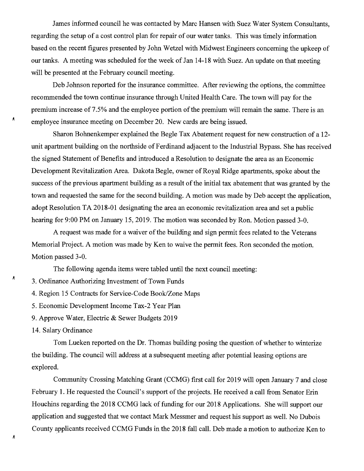James informed council he was contacted by Marc Hansen with Suez Water System Consultants, regarding the setup of a cost control plan for repair of our water tanks. This was timely information based on the recent figures presented by John Wetzel with Midwest Engineers concerning the upkeep of our tanks. A meeting was scheduled for the week of Jan 14-18 with Suez. An update on that meeting will be presented at the February council meeting.

Deb Johnson reported for the insurance committee. After reviewing the options, the committee recommended the town continue insurance through United Health Care. The town will pay for the premium increase of 7.5% and the employee portion of the premium will remain the same. There is an employee insurance meeting on December 20. New cards are being issued.

Sharon Bohnenkemper explained the Begle Tax Abatement request for new construction of a 12 unit apartment building on the northside of Ferdinand adjacent to the Industrial Bypass. She has received the signed Statement of Benefits and introduced a Resolution to designate the area as an Economic Development Revitalization Area. Dakota Begle, owner of Royal Ridge apartments, spoke about the success of the previous apartment building as a result of the initial tax abatement that was granted by the town and requested the same for the second building. A motion was made by Deb accept the application, adopt Resolution TA 2018-01 designating the area an economic revitalization area and set a public hearing for 9:00 PM on January 15, 2019. The motion was seconded by Ron. Motion passed 3-0.

A request was made for a waiver of the building and sign permit fees related to the Veterans Memorial Project. A motion was made by Ken to waive the permit fees. Ron seconded the motion. Motion passed 3-0.

The following agenda items were tabled until the next council meeting:

3. Ordinance Authorizing Investment of Town Funds

4. Region 15 Contracts for Service-Code Book/Zone Maps

5. Economic Development Income Tax-2 Year Plan

9. Approve Water, Electric & Sewer Budgets 2019

14. Salary Ordinance

Λ

Λ

A

Tom Lueken reported on the Dr. Thomas building posing the question of whether to winterize the building. The council will address at a subsequent meeting after potential leasing options are explored.

Community Crossing Matching Grant (CCMG) first call for 2019 will open January 7 and close February 1. He requested the Council's support of the projects. He received a call from Senator Erin Houchins regarding the 2018 CCMG lack of funding for our 2018 Applications. She will support our application and suggested that we contact Mark Messmer and request his support as well. No Dubois County applicants received CCMG Funds in the 2018 fall call. Deb made a motion to authorize Ken to